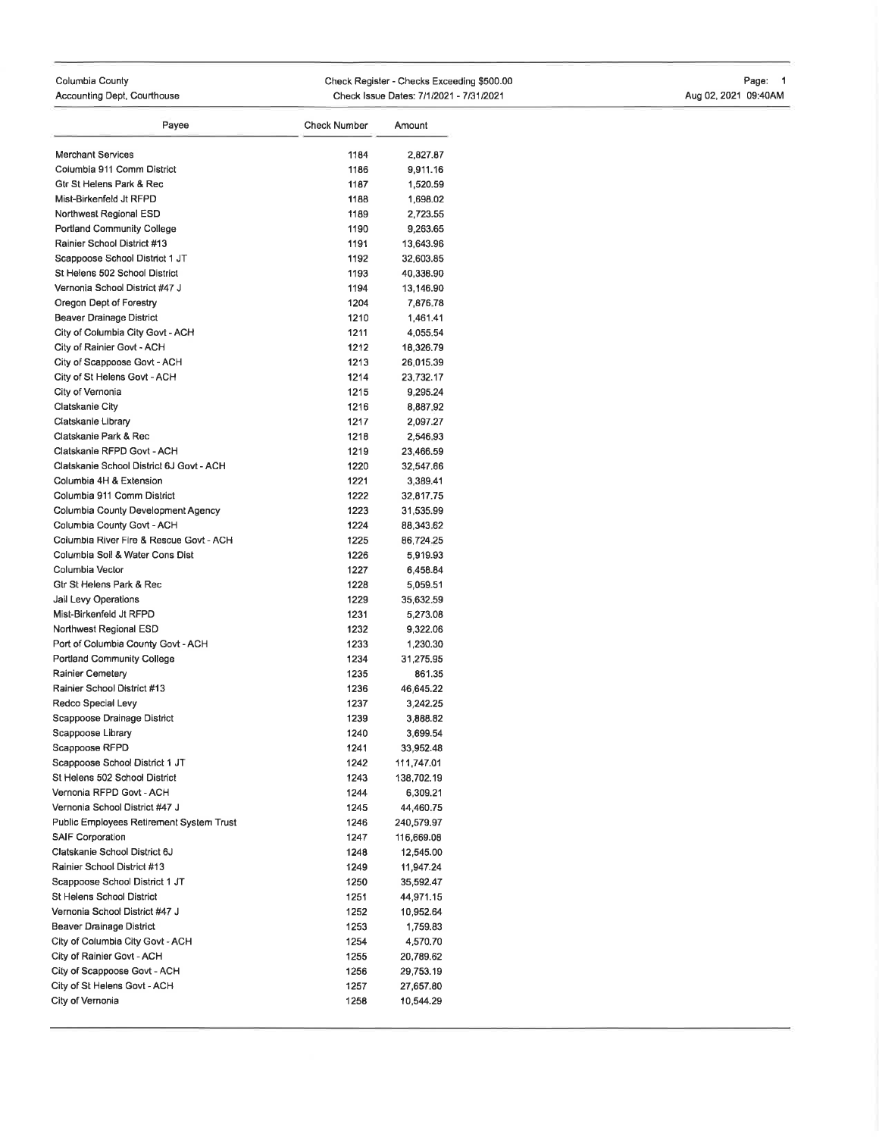### Columbia County Accounting Dept, Courthouse Check Register - Checks Exceeding \$500.00 Check Issue Dates: 7/1/2021 - 7/31/2021 Page: <sup>1</sup> Aug 02, 2021 09:40AM

| Payee                                                  | <b>Check Number</b> | Amount               |
|--------------------------------------------------------|---------------------|----------------------|
|                                                        |                     |                      |
| <b>Merchant Services</b><br>Columbia 911 Comm District | 1184                | 2,827.87             |
| Gtr St Helens Park & Rec                               | 1186                | 9,911.16             |
| Mist-Birkenfeld Jt RFPD                                | 1187                | 1,520.59             |
| Northwest Regional ESD                                 | 1188<br>1189        | 1,698.02             |
| Portland Community College                             | 1190                | 2,723.55<br>9,263.65 |
| Rainier School District #13                            | 1191                | 13,643.96            |
| Scappoose School District 1 JT                         | 1192                | 32,603.85            |
| St Helens 502 School District                          | 1193                | 40,338.90            |
| Vernonia School District #47 J                         | 1194                | 13,146.90            |
| Oregon Dept of Forestry                                | 1204                | 7,876.78             |
| Beaver Drainage District                               | 1210                | 1,461.41             |
| City of Columbia City Govt - ACH                       | 1211                | 4,055.54             |
| City of Rainier Govt - ACH                             | 1212                | 18,326.79            |
| City of Scappoose Govt - ACH                           | 1213                | 26,015.39            |
| City of St Helens Govt - ACH                           | 1214                | 23,732.17            |
| City of Vernonia                                       | 1215                | 9,295.24             |
| Clatskanie City                                        | 1216                | 8,887.92             |
| Clatskanie Library                                     | 1217                | 2,097.27             |
| Clatskanie Park & Rec                                  | 1218                | 2,546.93             |
| Clatskanie RFPD Govt - ACH                             | 1219                | 23,466,59            |
| Clatskanie School District 6J Govt - ACH               | 1220                | 32,547.66            |
| Columbia 4H & Extension                                | 1221                | 3,389.41             |
| Columbia 911 Comm District                             | 1222                | 32,817.75            |
| Columbia County Development Agency                     | 1223                | 31,535.99            |
| Columbia County Govt - ACH                             | 1224                | 88,343.62            |
| Columbia River Fire & Rescue Govt - ACH                | 1225                | 86,724.25            |
| Columbia Soil & Water Cons Dist                        | 1226                | 5,919.93             |
| Columbia Vector                                        | 1227                | 6,458.84             |
| Gtr St Helens Park & Rec                               | 1228                | 5,059.51             |
| Jail Levy Operations                                   | 1229                | 35,632.59            |
| Mist-Birkenfeld Jt RFPD                                | 1231                | 5,273.08             |
| Northwest Regional ESD                                 | 1232                | 9,322.06             |
| Port of Columbia County Govt - ACH                     | 1233                | 1,230.30             |
| Portland Community College                             | 1234                | 31,275.95            |
| Rainier Cemetery                                       | 1235                | 861.35               |
| Rainier School District #13                            | 1236                | 46.645.22            |
| Redco Special Levy                                     | 1237                | 3,242.25             |
| Scappoose Drainage District                            | 1239                | 3,888.82             |
| Scappoose Library                                      | 1240                | 3,699.54             |
| Scappoose RFPD                                         | 1241                | 33,952.48            |
| Scappoose School District 1 JT                         | 1242                | 111,747.01           |
| St Helens 502 School District                          | 1243                | 138,702.19           |
| Vernonia RFPD Govt - ACH                               | 1244                | 6,309.21             |
| Vernonia School District #47 J                         | 1245                | 44,460.75            |
| Public Employees Retirement System Trust               | 1246                | 240,579.97           |
| <b>SAIF Corporation</b>                                | 1247                | 116,669.08           |
| Clatskanie School District 6J                          | 1248                | 12,545.00            |
| Rainier School District #13                            | 1249                | 11,947.24            |
| Scappoose School District 1 JT                         | 1250                | 35,592.47            |
| St Helens School District                              | 1251                | 44,971.15            |
| Vernonia School District #47 J                         | 1252                | 10,952.64            |
| Beaver Drainage District                               | 1253                | 1,759.83             |
| City of Columbia City Govt - ACH                       | 1254                | 4,570.70             |
| City of Rainier Govt - ACH                             | 1255                | 20,789.62            |
| City of Scappoose Govt - ACH                           | 1256                | 29,753.19            |
| City of St Helens Govt - ACH                           | 1257                | 27,657.80            |
| City of Vernonia                                       | 1258                | 10,544.29            |
|                                                        |                     |                      |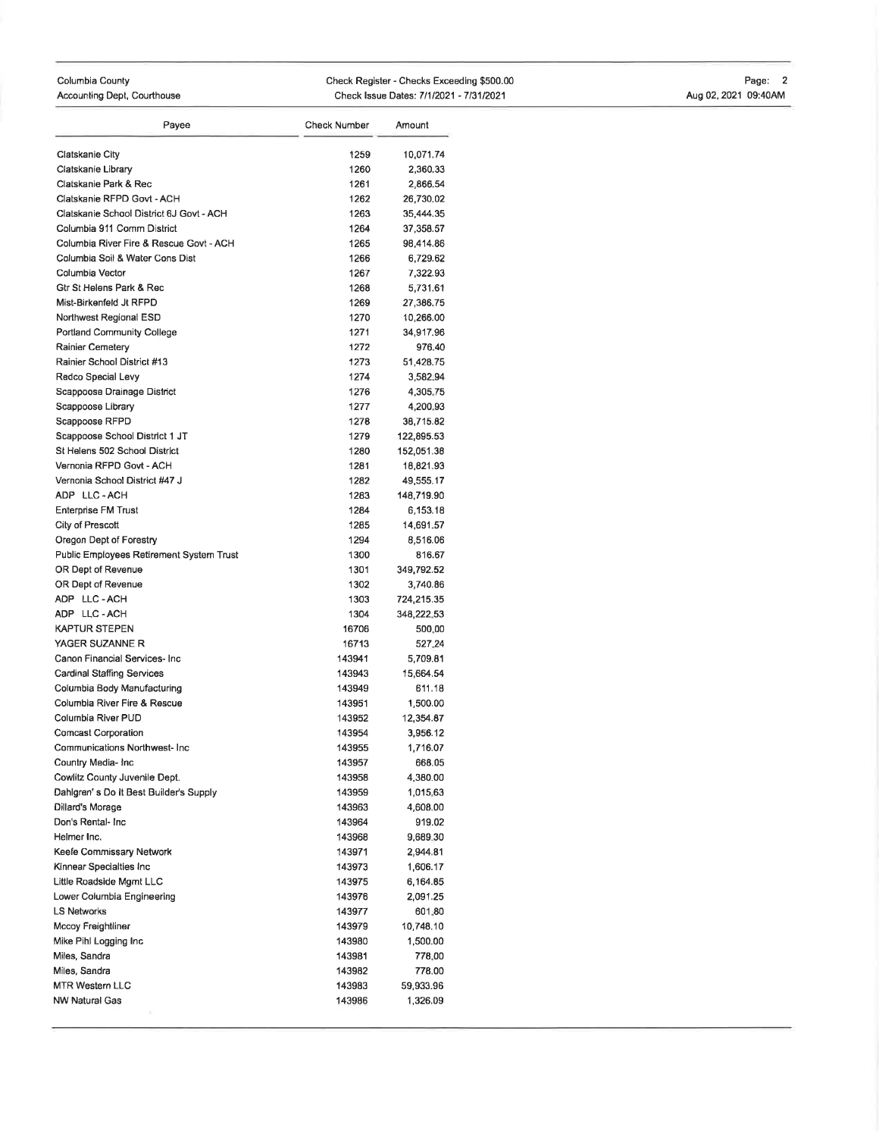#### Columbia County Accounting Dept, Courthouse Check Register - Checks Exceeding \$500.00 Check Issue Dates: 7/1/2021 - 7/31/2021 Page: 2 AugO2,2O21 09:40AM

| Payee                                    | <b>Check Number</b> | Amount     |
|------------------------------------------|---------------------|------------|
| Clatskanie City                          | 1259                | 10,071.74  |
| Clatskanie Library                       | 1260                | 2,360.33   |
| Clatskanie Park & Rec                    | 1261                | 2,866.54   |
| Clatskanie RFPD Govt - ACH               | 1262                | 26,730.02  |
| Clatskanie School District 6J Govt - ACH | 1263                | 35,444.35  |
| Columbia 911 Comm District               | 1264                | 37,358.57  |
| Columbia River Fire & Rescue Govt - ACH  | 1265                | 98,414.86  |
| Columbia Soil & Water Cons Dist          | 1266                | 6,729.62   |
| Columbia Vector                          | 1267                | 7,322.93   |
| Gtr St Helens Park & Rec                 | 1268                | 5,731.61   |
| Mist-Birkenfeld Jt RFPD                  | 1269                | 27,386.75  |
| Northwest Regional ESD                   | 1270                | 10,266.00  |
| Portland Community College               | 1271                | 34,917.96  |
| <b>Rainier Cemetery</b>                  | 1272                | 976,40     |
| Rainier School District #13              | 1273                | 51,428.75  |
| Redco Special Levy                       | 1274                | 3,582.94   |
| Scappoose Drainage District              | 1276                | 4,305.75   |
| Scappoose Library                        | 1277                | 4,200.93   |
| Scappoose RFPD                           | 1278                | 38,715.82  |
| Scappoose School District 1 JT           | 1279                | 122,895.53 |
| St Helens 502 School District            | 1280                | 152,051.38 |
| Vernonia RFPD Govt - ACH                 | 1281                | 18,821.93  |
| Vernonia School District #47 J           | 1282                | 49,555.17  |
| ADP LLC-ACH                              | 1283                | 148,719.90 |
| <b>Enterprise FM Trust</b>               | 1284                | 6,153.18   |
| City of Prescott                         | 1285                | 14,691.57  |
| Oregon Dept of Forestry                  | 1294                | 8,516.06   |
| Public Employees Retirement System Trust | 1300                | 816.67     |
| OR Dept of Revenue                       | 1301                | 349,792.52 |
| OR Dept of Revenue                       | 1302                | 3,740.86   |
| ADP LLC-ACH                              | 1303                | 724,215.35 |
| ADP LLC-ACH                              | 1304                | 348,222.53 |
| KAPTUR STEPEN                            | 16706               | 500.00     |
| YAGER SUZANNE R                          | 16713               | 527.24     |
| Canon Financial Services- Inc            | 143941              | 5,709.81   |
| Cardinal Staffing Services               | 143943              | 15,664.54  |
| Columbia Body Manufacturing              | 143949              | 611.18     |
| Columbia River Fire & Rescue             | 143951              | 1,500.00   |
| Columbia River PUD                       | 143952              | 12,354.87  |
| <b>Comcast Corporation</b>               | 143954              | 3,956.12   |
| Communications Northwest- Inc            | 143955              | 1,716.07   |
| Country Media- Inc                       | 143957              | 668.05     |
| Cowlitz County Juvenile Dept.            | 143958              | 4,380.00   |
| Dahlgren's Do It Best Builder's Supply   | 143959              | 1,015.63   |
| Dillard's Morage                         | 143963              | 4,608.00   |
| Don's Rental- Inc                        | 143964              | 919.02     |
| Helmer Inc.                              | 143968              | 9,689.30   |
| Keefe Commissary Network                 | 143971              | 2,944.81   |
| Kinnear Specialties Inc                  | 143973              | 1,606.17   |
| Little Roadside Mgmt LLC                 | 143975              | 6,164.85   |
| Lower Columbia Engineering               | 143976              | 2,091.25   |
| LS Networks                              | 143977              | 601.80     |
| Mccoy Freightliner                       | 143979              | 10,748.10  |
| Mike Pihl Logging Inc                    | 143980              | 1,500.00   |
| Miles, Sandra                            | 143981              | 778.00     |
| Miles, Sandra                            | 143982              | 778.00     |
| MTR Western LLC                          | 143983              | 59,933.96  |
| NW Natural Gas                           | 143986              | 1,326.09   |
|                                          |                     |            |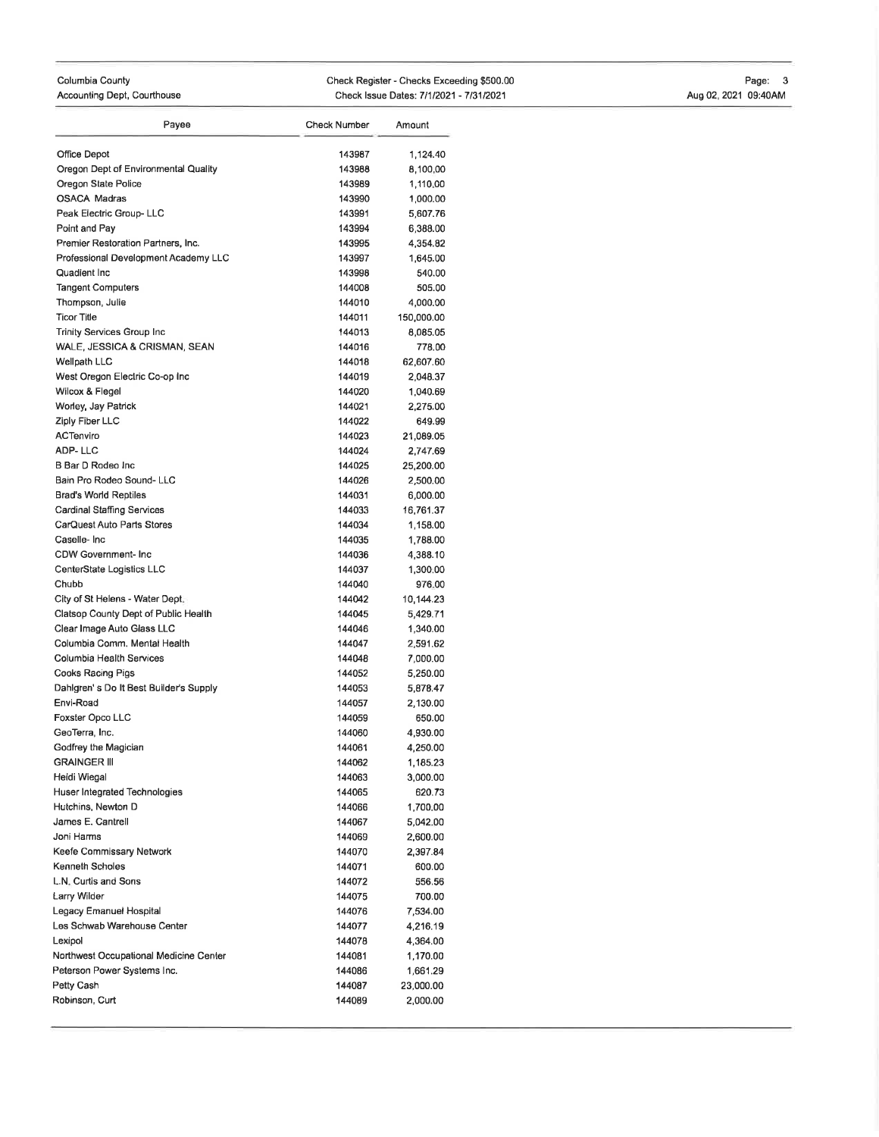#### Columbia County Accounting Dept, Courthouse Check Register - Checks Exceeding \$500.00 Check Issue Dates: 7/1/2021 - 7/31/2021 Page: 3 Aug 02, 2021 09:40AM

| Office Depot<br>143987<br>1,124.40<br>Oregon Dept of Environmental Quality<br>143988<br>8,100,00<br>Oregon State Police<br>143989<br>1,110,00<br><b>OSACA Madras</b><br>143990<br>1,000.00<br>Peak Electric Group- LLC<br>143991<br>5,607.76<br>Point and Pay<br>143994<br>6,388.00<br>Premier Restoration Partners, Inc.<br>143995<br>4,354.82<br>Professional Development Academy LLC<br>143997<br>1,645.00<br>Quadient Inc<br>143998<br>540.00<br><b>Tangent Computers</b><br>144008<br>Thompson, Julie<br>144010<br><b>Ticor Title</b><br>144011<br>Trinity Services Group Inc<br>144013<br>WALE, JESSICA & CRISMAN, SEAN<br>144016<br>Wellpath LLC<br>144018<br>West Oregon Electric Co-op Inc<br>144019<br>Wilcox & Flegel<br>144020<br>Worley, Jay Patrick<br>144021<br>Ziply Fiber LLC<br>144022<br>ACTenviro<br>144023<br>ADP-LLC<br>144024<br>B Bar D Rodeo Inc<br>144025<br>Bain Pro Rodeo Sound- LLC<br>144026<br><b>Brad's World Reptiles</b><br>144031<br>Cardinal Staffing Services<br>144033<br>CarQuest Auto Parts Stores<br>144034<br>Caselle-Inc<br>144035<br>CDW Government- Inc<br>144036<br>CenterState Logistics LLC<br>144037<br>Chubb<br>144040<br>City of St Helens - Water Dept.<br>144042<br>Clatsop County Dept of Public Health<br>144045<br>Clear Image Auto Glass LLC<br>144046<br>Columbia Comm, Mental Health<br>144047<br>Columbia Health Services<br>144048<br>Cooks Racing Pigs<br>144052<br>Dahlgren's Do It Best Builder's Supply<br>144053<br>Envi-Road<br>144057<br>Foxster Opco LLC<br>144059<br>GeoTerra, Inc.<br>144060<br>Godfrey the Magician<br>144061<br>GRAINGER III<br>144062<br>Heidi Wiegal<br>144063<br>Huser Integrated Technologies<br>144065<br>Hutchins, Newton D<br>144066<br>James E. Cantrell<br>144067<br>Joni Harms<br>144069<br>Keefe Commissary Network<br>144070<br>Kenneth Scholes<br>144071<br>L.N. Curtis and Sons<br>144072<br>Larry Wilder<br>144075<br>Legacy Emanuel Hospital<br>144076<br>Les Schwab Warehouse Center<br>144077<br>Lexipol<br>144078<br>Northwest Occupational Medicine Center<br>144081<br>Peterson Power Systems Inc.<br>144086<br>Petty Cash<br>144087<br>Robinson, Curt<br>144089 | Payee | <b>Check Number</b> | Amount     |
|--------------------------------------------------------------------------------------------------------------------------------------------------------------------------------------------------------------------------------------------------------------------------------------------------------------------------------------------------------------------------------------------------------------------------------------------------------------------------------------------------------------------------------------------------------------------------------------------------------------------------------------------------------------------------------------------------------------------------------------------------------------------------------------------------------------------------------------------------------------------------------------------------------------------------------------------------------------------------------------------------------------------------------------------------------------------------------------------------------------------------------------------------------------------------------------------------------------------------------------------------------------------------------------------------------------------------------------------------------------------------------------------------------------------------------------------------------------------------------------------------------------------------------------------------------------------------------------------------------------------------------------------------------------------------------------------------------------------------------------------------------------------------------------------------------------------------------------------------------------------------------------------------------------------------------------------------------------------------------------------------------------------------------------------------------------------------------------------------------------------------------------------------------------------------------|-------|---------------------|------------|
|                                                                                                                                                                                                                                                                                                                                                                                                                                                                                                                                                                                                                                                                                                                                                                                                                                                                                                                                                                                                                                                                                                                                                                                                                                                                                                                                                                                                                                                                                                                                                                                                                                                                                                                                                                                                                                                                                                                                                                                                                                                                                                                                                                                |       |                     |            |
|                                                                                                                                                                                                                                                                                                                                                                                                                                                                                                                                                                                                                                                                                                                                                                                                                                                                                                                                                                                                                                                                                                                                                                                                                                                                                                                                                                                                                                                                                                                                                                                                                                                                                                                                                                                                                                                                                                                                                                                                                                                                                                                                                                                |       |                     |            |
|                                                                                                                                                                                                                                                                                                                                                                                                                                                                                                                                                                                                                                                                                                                                                                                                                                                                                                                                                                                                                                                                                                                                                                                                                                                                                                                                                                                                                                                                                                                                                                                                                                                                                                                                                                                                                                                                                                                                                                                                                                                                                                                                                                                |       |                     |            |
|                                                                                                                                                                                                                                                                                                                                                                                                                                                                                                                                                                                                                                                                                                                                                                                                                                                                                                                                                                                                                                                                                                                                                                                                                                                                                                                                                                                                                                                                                                                                                                                                                                                                                                                                                                                                                                                                                                                                                                                                                                                                                                                                                                                |       |                     |            |
|                                                                                                                                                                                                                                                                                                                                                                                                                                                                                                                                                                                                                                                                                                                                                                                                                                                                                                                                                                                                                                                                                                                                                                                                                                                                                                                                                                                                                                                                                                                                                                                                                                                                                                                                                                                                                                                                                                                                                                                                                                                                                                                                                                                |       |                     |            |
|                                                                                                                                                                                                                                                                                                                                                                                                                                                                                                                                                                                                                                                                                                                                                                                                                                                                                                                                                                                                                                                                                                                                                                                                                                                                                                                                                                                                                                                                                                                                                                                                                                                                                                                                                                                                                                                                                                                                                                                                                                                                                                                                                                                |       |                     |            |
|                                                                                                                                                                                                                                                                                                                                                                                                                                                                                                                                                                                                                                                                                                                                                                                                                                                                                                                                                                                                                                                                                                                                                                                                                                                                                                                                                                                                                                                                                                                                                                                                                                                                                                                                                                                                                                                                                                                                                                                                                                                                                                                                                                                |       |                     |            |
|                                                                                                                                                                                                                                                                                                                                                                                                                                                                                                                                                                                                                                                                                                                                                                                                                                                                                                                                                                                                                                                                                                                                                                                                                                                                                                                                                                                                                                                                                                                                                                                                                                                                                                                                                                                                                                                                                                                                                                                                                                                                                                                                                                                |       |                     |            |
|                                                                                                                                                                                                                                                                                                                                                                                                                                                                                                                                                                                                                                                                                                                                                                                                                                                                                                                                                                                                                                                                                                                                                                                                                                                                                                                                                                                                                                                                                                                                                                                                                                                                                                                                                                                                                                                                                                                                                                                                                                                                                                                                                                                |       |                     |            |
|                                                                                                                                                                                                                                                                                                                                                                                                                                                                                                                                                                                                                                                                                                                                                                                                                                                                                                                                                                                                                                                                                                                                                                                                                                                                                                                                                                                                                                                                                                                                                                                                                                                                                                                                                                                                                                                                                                                                                                                                                                                                                                                                                                                |       |                     | 505.00     |
|                                                                                                                                                                                                                                                                                                                                                                                                                                                                                                                                                                                                                                                                                                                                                                                                                                                                                                                                                                                                                                                                                                                                                                                                                                                                                                                                                                                                                                                                                                                                                                                                                                                                                                                                                                                                                                                                                                                                                                                                                                                                                                                                                                                |       |                     | 4,000.00   |
|                                                                                                                                                                                                                                                                                                                                                                                                                                                                                                                                                                                                                                                                                                                                                                                                                                                                                                                                                                                                                                                                                                                                                                                                                                                                                                                                                                                                                                                                                                                                                                                                                                                                                                                                                                                                                                                                                                                                                                                                                                                                                                                                                                                |       |                     | 150,000.00 |
|                                                                                                                                                                                                                                                                                                                                                                                                                                                                                                                                                                                                                                                                                                                                                                                                                                                                                                                                                                                                                                                                                                                                                                                                                                                                                                                                                                                                                                                                                                                                                                                                                                                                                                                                                                                                                                                                                                                                                                                                                                                                                                                                                                                |       |                     | 8,085.05   |
|                                                                                                                                                                                                                                                                                                                                                                                                                                                                                                                                                                                                                                                                                                                                                                                                                                                                                                                                                                                                                                                                                                                                                                                                                                                                                                                                                                                                                                                                                                                                                                                                                                                                                                                                                                                                                                                                                                                                                                                                                                                                                                                                                                                |       |                     | 778.00     |
|                                                                                                                                                                                                                                                                                                                                                                                                                                                                                                                                                                                                                                                                                                                                                                                                                                                                                                                                                                                                                                                                                                                                                                                                                                                                                                                                                                                                                                                                                                                                                                                                                                                                                                                                                                                                                                                                                                                                                                                                                                                                                                                                                                                |       |                     | 62,607.60  |
|                                                                                                                                                                                                                                                                                                                                                                                                                                                                                                                                                                                                                                                                                                                                                                                                                                                                                                                                                                                                                                                                                                                                                                                                                                                                                                                                                                                                                                                                                                                                                                                                                                                                                                                                                                                                                                                                                                                                                                                                                                                                                                                                                                                |       |                     | 2,048.37   |
|                                                                                                                                                                                                                                                                                                                                                                                                                                                                                                                                                                                                                                                                                                                                                                                                                                                                                                                                                                                                                                                                                                                                                                                                                                                                                                                                                                                                                                                                                                                                                                                                                                                                                                                                                                                                                                                                                                                                                                                                                                                                                                                                                                                |       |                     | 1,040.69   |
|                                                                                                                                                                                                                                                                                                                                                                                                                                                                                                                                                                                                                                                                                                                                                                                                                                                                                                                                                                                                                                                                                                                                                                                                                                                                                                                                                                                                                                                                                                                                                                                                                                                                                                                                                                                                                                                                                                                                                                                                                                                                                                                                                                                |       |                     | 2,275.00   |
|                                                                                                                                                                                                                                                                                                                                                                                                                                                                                                                                                                                                                                                                                                                                                                                                                                                                                                                                                                                                                                                                                                                                                                                                                                                                                                                                                                                                                                                                                                                                                                                                                                                                                                                                                                                                                                                                                                                                                                                                                                                                                                                                                                                |       |                     | 649.99     |
|                                                                                                                                                                                                                                                                                                                                                                                                                                                                                                                                                                                                                                                                                                                                                                                                                                                                                                                                                                                                                                                                                                                                                                                                                                                                                                                                                                                                                                                                                                                                                                                                                                                                                                                                                                                                                                                                                                                                                                                                                                                                                                                                                                                |       |                     | 21,089.05  |
|                                                                                                                                                                                                                                                                                                                                                                                                                                                                                                                                                                                                                                                                                                                                                                                                                                                                                                                                                                                                                                                                                                                                                                                                                                                                                                                                                                                                                                                                                                                                                                                                                                                                                                                                                                                                                                                                                                                                                                                                                                                                                                                                                                                |       |                     | 2,747.69   |
|                                                                                                                                                                                                                                                                                                                                                                                                                                                                                                                                                                                                                                                                                                                                                                                                                                                                                                                                                                                                                                                                                                                                                                                                                                                                                                                                                                                                                                                                                                                                                                                                                                                                                                                                                                                                                                                                                                                                                                                                                                                                                                                                                                                |       |                     | 25,200.00  |
|                                                                                                                                                                                                                                                                                                                                                                                                                                                                                                                                                                                                                                                                                                                                                                                                                                                                                                                                                                                                                                                                                                                                                                                                                                                                                                                                                                                                                                                                                                                                                                                                                                                                                                                                                                                                                                                                                                                                                                                                                                                                                                                                                                                |       |                     | 2,500.00   |
|                                                                                                                                                                                                                                                                                                                                                                                                                                                                                                                                                                                                                                                                                                                                                                                                                                                                                                                                                                                                                                                                                                                                                                                                                                                                                                                                                                                                                                                                                                                                                                                                                                                                                                                                                                                                                                                                                                                                                                                                                                                                                                                                                                                |       |                     | 6,000.00   |
|                                                                                                                                                                                                                                                                                                                                                                                                                                                                                                                                                                                                                                                                                                                                                                                                                                                                                                                                                                                                                                                                                                                                                                                                                                                                                                                                                                                                                                                                                                                                                                                                                                                                                                                                                                                                                                                                                                                                                                                                                                                                                                                                                                                |       |                     | 16,761.37  |
|                                                                                                                                                                                                                                                                                                                                                                                                                                                                                                                                                                                                                                                                                                                                                                                                                                                                                                                                                                                                                                                                                                                                                                                                                                                                                                                                                                                                                                                                                                                                                                                                                                                                                                                                                                                                                                                                                                                                                                                                                                                                                                                                                                                |       |                     | 1,158.00   |
|                                                                                                                                                                                                                                                                                                                                                                                                                                                                                                                                                                                                                                                                                                                                                                                                                                                                                                                                                                                                                                                                                                                                                                                                                                                                                                                                                                                                                                                                                                                                                                                                                                                                                                                                                                                                                                                                                                                                                                                                                                                                                                                                                                                |       |                     | 1,788.00   |
|                                                                                                                                                                                                                                                                                                                                                                                                                                                                                                                                                                                                                                                                                                                                                                                                                                                                                                                                                                                                                                                                                                                                                                                                                                                                                                                                                                                                                                                                                                                                                                                                                                                                                                                                                                                                                                                                                                                                                                                                                                                                                                                                                                                |       |                     | 4,388.10   |
|                                                                                                                                                                                                                                                                                                                                                                                                                                                                                                                                                                                                                                                                                                                                                                                                                                                                                                                                                                                                                                                                                                                                                                                                                                                                                                                                                                                                                                                                                                                                                                                                                                                                                                                                                                                                                                                                                                                                                                                                                                                                                                                                                                                |       |                     | 1,300.00   |
|                                                                                                                                                                                                                                                                                                                                                                                                                                                                                                                                                                                                                                                                                                                                                                                                                                                                                                                                                                                                                                                                                                                                                                                                                                                                                                                                                                                                                                                                                                                                                                                                                                                                                                                                                                                                                                                                                                                                                                                                                                                                                                                                                                                |       |                     | 976.00     |
|                                                                                                                                                                                                                                                                                                                                                                                                                                                                                                                                                                                                                                                                                                                                                                                                                                                                                                                                                                                                                                                                                                                                                                                                                                                                                                                                                                                                                                                                                                                                                                                                                                                                                                                                                                                                                                                                                                                                                                                                                                                                                                                                                                                |       |                     | 10,144.23  |
|                                                                                                                                                                                                                                                                                                                                                                                                                                                                                                                                                                                                                                                                                                                                                                                                                                                                                                                                                                                                                                                                                                                                                                                                                                                                                                                                                                                                                                                                                                                                                                                                                                                                                                                                                                                                                                                                                                                                                                                                                                                                                                                                                                                |       |                     | 5,429.71   |
|                                                                                                                                                                                                                                                                                                                                                                                                                                                                                                                                                                                                                                                                                                                                                                                                                                                                                                                                                                                                                                                                                                                                                                                                                                                                                                                                                                                                                                                                                                                                                                                                                                                                                                                                                                                                                                                                                                                                                                                                                                                                                                                                                                                |       |                     | 1,340.00   |
|                                                                                                                                                                                                                                                                                                                                                                                                                                                                                                                                                                                                                                                                                                                                                                                                                                                                                                                                                                                                                                                                                                                                                                                                                                                                                                                                                                                                                                                                                                                                                                                                                                                                                                                                                                                                                                                                                                                                                                                                                                                                                                                                                                                |       |                     | 2,591.62   |
|                                                                                                                                                                                                                                                                                                                                                                                                                                                                                                                                                                                                                                                                                                                                                                                                                                                                                                                                                                                                                                                                                                                                                                                                                                                                                                                                                                                                                                                                                                                                                                                                                                                                                                                                                                                                                                                                                                                                                                                                                                                                                                                                                                                |       |                     | 7,000.00   |
|                                                                                                                                                                                                                                                                                                                                                                                                                                                                                                                                                                                                                                                                                                                                                                                                                                                                                                                                                                                                                                                                                                                                                                                                                                                                                                                                                                                                                                                                                                                                                                                                                                                                                                                                                                                                                                                                                                                                                                                                                                                                                                                                                                                |       |                     | 5,250.00   |
|                                                                                                                                                                                                                                                                                                                                                                                                                                                                                                                                                                                                                                                                                                                                                                                                                                                                                                                                                                                                                                                                                                                                                                                                                                                                                                                                                                                                                                                                                                                                                                                                                                                                                                                                                                                                                                                                                                                                                                                                                                                                                                                                                                                |       |                     | 5,878.47   |
|                                                                                                                                                                                                                                                                                                                                                                                                                                                                                                                                                                                                                                                                                                                                                                                                                                                                                                                                                                                                                                                                                                                                                                                                                                                                                                                                                                                                                                                                                                                                                                                                                                                                                                                                                                                                                                                                                                                                                                                                                                                                                                                                                                                |       |                     | 2,130.00   |
|                                                                                                                                                                                                                                                                                                                                                                                                                                                                                                                                                                                                                                                                                                                                                                                                                                                                                                                                                                                                                                                                                                                                                                                                                                                                                                                                                                                                                                                                                                                                                                                                                                                                                                                                                                                                                                                                                                                                                                                                                                                                                                                                                                                |       |                     | 650.00     |
|                                                                                                                                                                                                                                                                                                                                                                                                                                                                                                                                                                                                                                                                                                                                                                                                                                                                                                                                                                                                                                                                                                                                                                                                                                                                                                                                                                                                                                                                                                                                                                                                                                                                                                                                                                                                                                                                                                                                                                                                                                                                                                                                                                                |       |                     | 4,930.00   |
|                                                                                                                                                                                                                                                                                                                                                                                                                                                                                                                                                                                                                                                                                                                                                                                                                                                                                                                                                                                                                                                                                                                                                                                                                                                                                                                                                                                                                                                                                                                                                                                                                                                                                                                                                                                                                                                                                                                                                                                                                                                                                                                                                                                |       |                     | 4,250.00   |
|                                                                                                                                                                                                                                                                                                                                                                                                                                                                                                                                                                                                                                                                                                                                                                                                                                                                                                                                                                                                                                                                                                                                                                                                                                                                                                                                                                                                                                                                                                                                                                                                                                                                                                                                                                                                                                                                                                                                                                                                                                                                                                                                                                                |       |                     | 1,185.23   |
|                                                                                                                                                                                                                                                                                                                                                                                                                                                                                                                                                                                                                                                                                                                                                                                                                                                                                                                                                                                                                                                                                                                                                                                                                                                                                                                                                                                                                                                                                                                                                                                                                                                                                                                                                                                                                                                                                                                                                                                                                                                                                                                                                                                |       |                     | 3,000.00   |
|                                                                                                                                                                                                                                                                                                                                                                                                                                                                                                                                                                                                                                                                                                                                                                                                                                                                                                                                                                                                                                                                                                                                                                                                                                                                                                                                                                                                                                                                                                                                                                                                                                                                                                                                                                                                                                                                                                                                                                                                                                                                                                                                                                                |       |                     | 620.73     |
|                                                                                                                                                                                                                                                                                                                                                                                                                                                                                                                                                                                                                                                                                                                                                                                                                                                                                                                                                                                                                                                                                                                                                                                                                                                                                                                                                                                                                                                                                                                                                                                                                                                                                                                                                                                                                                                                                                                                                                                                                                                                                                                                                                                |       |                     | 1,700.00   |
|                                                                                                                                                                                                                                                                                                                                                                                                                                                                                                                                                                                                                                                                                                                                                                                                                                                                                                                                                                                                                                                                                                                                                                                                                                                                                                                                                                                                                                                                                                                                                                                                                                                                                                                                                                                                                                                                                                                                                                                                                                                                                                                                                                                |       |                     | 5,042.00   |
|                                                                                                                                                                                                                                                                                                                                                                                                                                                                                                                                                                                                                                                                                                                                                                                                                                                                                                                                                                                                                                                                                                                                                                                                                                                                                                                                                                                                                                                                                                                                                                                                                                                                                                                                                                                                                                                                                                                                                                                                                                                                                                                                                                                |       |                     | 2,600.00   |
|                                                                                                                                                                                                                                                                                                                                                                                                                                                                                                                                                                                                                                                                                                                                                                                                                                                                                                                                                                                                                                                                                                                                                                                                                                                                                                                                                                                                                                                                                                                                                                                                                                                                                                                                                                                                                                                                                                                                                                                                                                                                                                                                                                                |       |                     | 2,397.84   |
|                                                                                                                                                                                                                                                                                                                                                                                                                                                                                                                                                                                                                                                                                                                                                                                                                                                                                                                                                                                                                                                                                                                                                                                                                                                                                                                                                                                                                                                                                                                                                                                                                                                                                                                                                                                                                                                                                                                                                                                                                                                                                                                                                                                |       |                     | 600.00     |
|                                                                                                                                                                                                                                                                                                                                                                                                                                                                                                                                                                                                                                                                                                                                                                                                                                                                                                                                                                                                                                                                                                                                                                                                                                                                                                                                                                                                                                                                                                                                                                                                                                                                                                                                                                                                                                                                                                                                                                                                                                                                                                                                                                                |       |                     | 556.56     |
|                                                                                                                                                                                                                                                                                                                                                                                                                                                                                                                                                                                                                                                                                                                                                                                                                                                                                                                                                                                                                                                                                                                                                                                                                                                                                                                                                                                                                                                                                                                                                                                                                                                                                                                                                                                                                                                                                                                                                                                                                                                                                                                                                                                |       |                     | 700.00     |
|                                                                                                                                                                                                                                                                                                                                                                                                                                                                                                                                                                                                                                                                                                                                                                                                                                                                                                                                                                                                                                                                                                                                                                                                                                                                                                                                                                                                                                                                                                                                                                                                                                                                                                                                                                                                                                                                                                                                                                                                                                                                                                                                                                                |       |                     | 7,534.00   |
|                                                                                                                                                                                                                                                                                                                                                                                                                                                                                                                                                                                                                                                                                                                                                                                                                                                                                                                                                                                                                                                                                                                                                                                                                                                                                                                                                                                                                                                                                                                                                                                                                                                                                                                                                                                                                                                                                                                                                                                                                                                                                                                                                                                |       |                     | 4,216.19   |
|                                                                                                                                                                                                                                                                                                                                                                                                                                                                                                                                                                                                                                                                                                                                                                                                                                                                                                                                                                                                                                                                                                                                                                                                                                                                                                                                                                                                                                                                                                                                                                                                                                                                                                                                                                                                                                                                                                                                                                                                                                                                                                                                                                                |       |                     | 4,364.00   |
|                                                                                                                                                                                                                                                                                                                                                                                                                                                                                                                                                                                                                                                                                                                                                                                                                                                                                                                                                                                                                                                                                                                                                                                                                                                                                                                                                                                                                                                                                                                                                                                                                                                                                                                                                                                                                                                                                                                                                                                                                                                                                                                                                                                |       |                     | 1,170.00   |
|                                                                                                                                                                                                                                                                                                                                                                                                                                                                                                                                                                                                                                                                                                                                                                                                                                                                                                                                                                                                                                                                                                                                                                                                                                                                                                                                                                                                                                                                                                                                                                                                                                                                                                                                                                                                                                                                                                                                                                                                                                                                                                                                                                                |       |                     | 1,661.29   |
|                                                                                                                                                                                                                                                                                                                                                                                                                                                                                                                                                                                                                                                                                                                                                                                                                                                                                                                                                                                                                                                                                                                                                                                                                                                                                                                                                                                                                                                                                                                                                                                                                                                                                                                                                                                                                                                                                                                                                                                                                                                                                                                                                                                |       |                     | 23,000.00  |
|                                                                                                                                                                                                                                                                                                                                                                                                                                                                                                                                                                                                                                                                                                                                                                                                                                                                                                                                                                                                                                                                                                                                                                                                                                                                                                                                                                                                                                                                                                                                                                                                                                                                                                                                                                                                                                                                                                                                                                                                                                                                                                                                                                                |       |                     | 2,000.00   |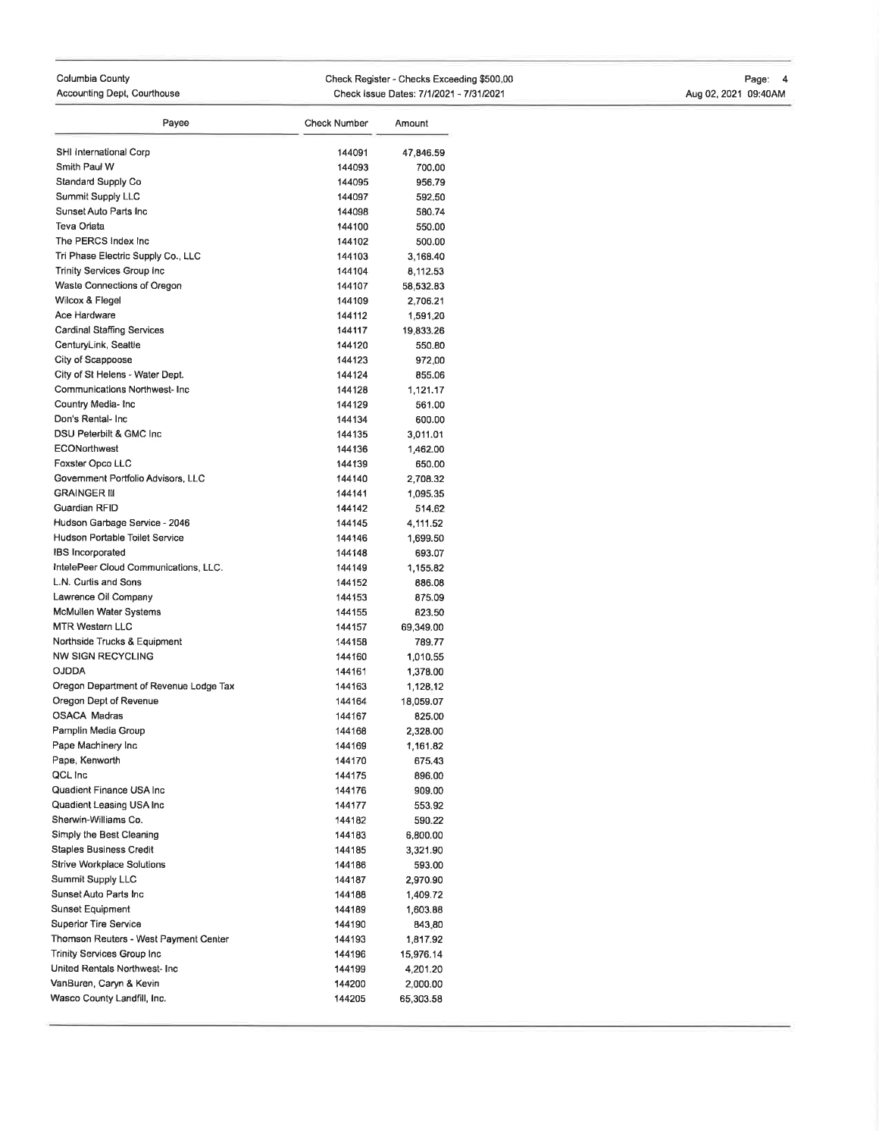### Columbia County Accounting Dept, Courthouse

Check Register - Checks Exceeding \$500.00 Check lssue Dates:71112021 - 713112021

Page: 4 AugO2,2O21 09:40AM

| Payee                                       | <b>Check Number</b> | Amount                |
|---------------------------------------------|---------------------|-----------------------|
|                                             |                     |                       |
| SHI International Corp                      | 144091              | 47,846.59             |
| Smith Paul W                                | 144093              | 700.00                |
| Standard Supply Co                          | 144095              | 956.79                |
| Summit Supply LLC<br>Sunset Auto Parts Inc. | 144097              | 592.50                |
| Teva Oriata                                 | 144098<br>144100    | 580.74                |
| The PERCS Index Inc                         | 144102              | 550.00                |
| Tri Phase Electric Supply Co., LLC          | 144103              | 500.00                |
| Trinity Services Group Inc                  | 144104              | 3,168.40              |
| Waste Connections of Oregon                 | 144107              | 8,112.53<br>58,532.83 |
| Wilcox & Flegel                             | 144109              | 2,706.21              |
| Ace Hardware                                | 144112              | 1,591,20              |
| Cardinal Staffing Services                  | 144117              | 19,833.26             |
| CenturyLink, Seattle                        | 144120              | 550.80                |
| City of Scappoose                           | 144123              | 972,00                |
| City of St Helens - Water Dept.             | 144124              | 855.06                |
| Communications Northwest- Inc.              | 144128              | 1,121.17              |
| Country Media- Inc                          | 144129              | 561.00                |
| Don's Rental- Inc                           | 144134              | 600.00                |
| DSU Peterbilt & GMC Inc.                    | 144135              | 3,011.01              |
| <b>ECONorthwest</b>                         | 144136              | 1,462.00              |
| Foxster Opco LLC                            | 144139              | 650.00                |
| Government Portfolio Advisors, LLC          | 144140              | 2,708.32              |
| <b>GRAINGER III</b>                         | 144141              | 1,095.35              |
| Guardian RFID                               | 144142              | 514.62                |
| Hudson Garbage Service - 2046               | 144145              | 4,111.52              |
| Hudson Portable Toilet Service              | 144146              | 1,699.50              |
| <b>IBS</b> Incorporated                     | 144148              | 693.07                |
| IntelePeer Cloud Communications, LLC.       | 144149              | 1,155.82              |
| L.N. Curtis and Sons                        | 144152              | 886.08                |
| Lawrence Oil Company                        | 144153              | 875.09                |
| McMullen Water Systems                      | 144155              | 823.50                |
| <b>MTR Western LLC</b>                      | 144157              | 69,349.00             |
| Northside Trucks & Equipment                | 144158              | 789.77                |
| <b>NW SIGN RECYCLING</b>                    | 144160              | 1,010.55              |
| <b>OJDDA</b>                                | 144161              | 1,378.00              |
| Oregon Department of Revenue Lodge Tax      | 144163              | 1,128,12              |
| Oregon Dept of Revenue                      | 144164              | 18,059.07             |
| <b>OSACA Madras</b>                         | 144167              | 825.00                |
| Pamplin Media Group                         | 144168              | 2,328.00              |
| Pape Machinery Inc                          | 144169              | 1,161.82              |
| Pape, Kenworth                              | 144170              | 675,43                |
| QCL Inc                                     | 144175              | 896.00                |
| Quadient Finance USA Inc                    | 144176              | 909.00                |
| Quadient Leasing USA Inc                    | 144177              | 553.92                |
| Sherwin-Williams Co.                        | 144182              | 590.22                |
| Simply the Best Cleaning                    | 144183              | 6,800.00              |
| <b>Staples Business Credit</b>              | 144185              | 3,321.90              |
| <b>Strive Workplace Solutions</b>           | 144186              | 593.00                |
| Summit Supply LLC                           | 144187              | 2,970.90              |
| Sunset Auto Parts Inc                       | 144188              | 1,409.72              |
| Sunset Equipment                            | 144189              | 1,603.88              |
| Superior Tire Service                       | 144190              | 843.80                |
| Thomson Reuters - West Payment Center       | 144193              | 1,817.92              |
| Trinity Services Group Inc                  | 144196              | 15,976.14             |
| United Rentals Northwest- Inc               | 144199              | 4,201.20              |
| VanBuren, Caryn & Kevin                     | 144200              | 2,000.00              |
| Wasco County Landfill, Inc.                 | 144205              | 65,303.58             |
|                                             |                     |                       |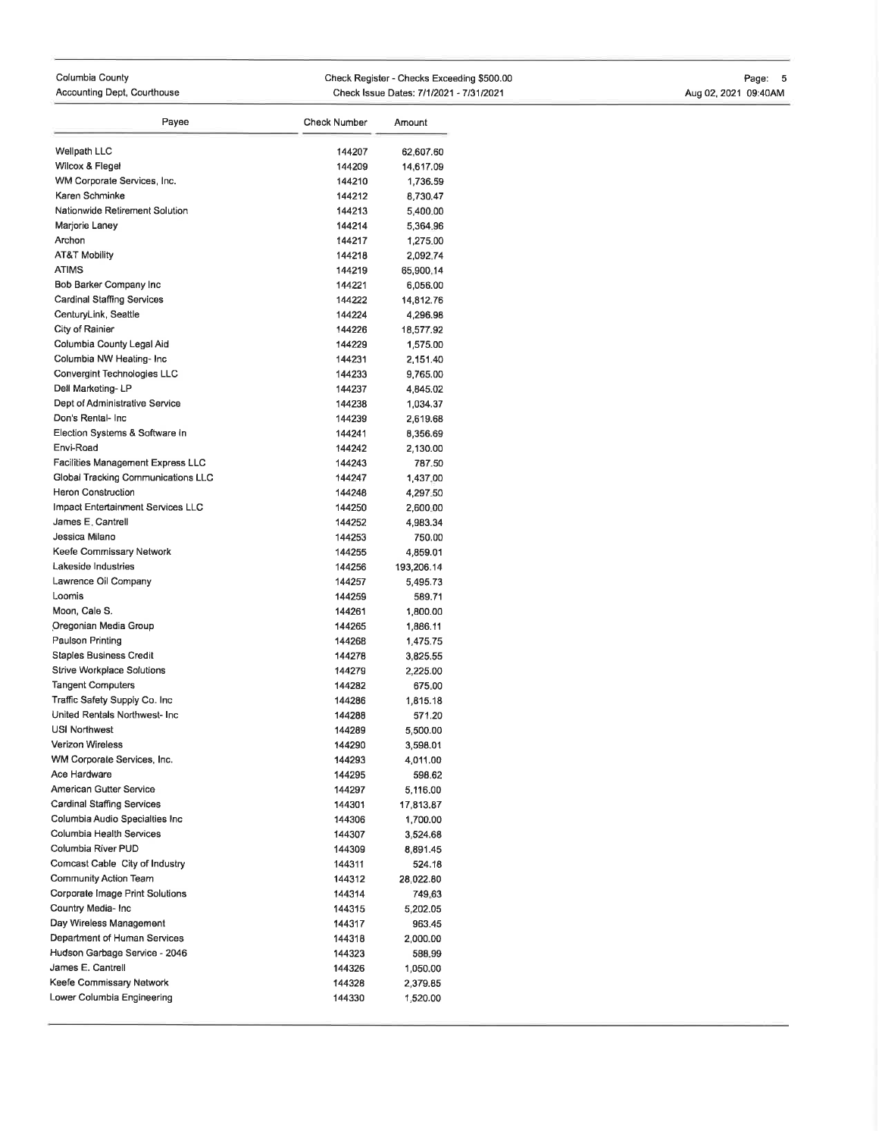# Columbia County

Accounting Dept, Courthouse

Check Register - Checks Exceeding \$500.00 Check Issue Dates: 7/1/2021 - 7/31/2021

## Page: 5 4ug02,2021 09:40AM

| 144207<br>144209<br>144210<br>144212<br>144213<br>144214<br>144217<br>144218<br>144219<br>144221<br>144222<br>144224<br>144226<br>144229 | 62,607.60<br>14,617.09<br>1,736.59<br>8,730.47<br>5,400.00<br>5 364 96<br>1,275.00<br>2,092.74<br>65,900,14<br>6,056.00<br>14,812.76<br>4,296.98                                                                                                                                                         |
|------------------------------------------------------------------------------------------------------------------------------------------|----------------------------------------------------------------------------------------------------------------------------------------------------------------------------------------------------------------------------------------------------------------------------------------------------------|
|                                                                                                                                          |                                                                                                                                                                                                                                                                                                          |
|                                                                                                                                          |                                                                                                                                                                                                                                                                                                          |
|                                                                                                                                          |                                                                                                                                                                                                                                                                                                          |
|                                                                                                                                          |                                                                                                                                                                                                                                                                                                          |
|                                                                                                                                          |                                                                                                                                                                                                                                                                                                          |
|                                                                                                                                          |                                                                                                                                                                                                                                                                                                          |
|                                                                                                                                          |                                                                                                                                                                                                                                                                                                          |
|                                                                                                                                          |                                                                                                                                                                                                                                                                                                          |
|                                                                                                                                          |                                                                                                                                                                                                                                                                                                          |
|                                                                                                                                          |                                                                                                                                                                                                                                                                                                          |
|                                                                                                                                          |                                                                                                                                                                                                                                                                                                          |
|                                                                                                                                          |                                                                                                                                                                                                                                                                                                          |
|                                                                                                                                          | 18,577.92                                                                                                                                                                                                                                                                                                |
|                                                                                                                                          | 1,575.00                                                                                                                                                                                                                                                                                                 |
| 144231                                                                                                                                   | 2,151.40                                                                                                                                                                                                                                                                                                 |
| 144233                                                                                                                                   | 9,765.00                                                                                                                                                                                                                                                                                                 |
| 144237                                                                                                                                   | 4.845.02                                                                                                                                                                                                                                                                                                 |
| 144238                                                                                                                                   | 1,034.37                                                                                                                                                                                                                                                                                                 |
| 144239                                                                                                                                   | 2,619.68                                                                                                                                                                                                                                                                                                 |
| 144241                                                                                                                                   | 8,356.69                                                                                                                                                                                                                                                                                                 |
| 144242                                                                                                                                   | 2,130.00                                                                                                                                                                                                                                                                                                 |
| 144243                                                                                                                                   | 787.50                                                                                                                                                                                                                                                                                                   |
| 144247                                                                                                                                   | 1,437,00                                                                                                                                                                                                                                                                                                 |
| 144248                                                                                                                                   | 4,297.50                                                                                                                                                                                                                                                                                                 |
| 144250                                                                                                                                   | 2,600.00                                                                                                                                                                                                                                                                                                 |
| 144252                                                                                                                                   | 4,983.34                                                                                                                                                                                                                                                                                                 |
| 144253                                                                                                                                   | 750.00                                                                                                                                                                                                                                                                                                   |
| 144255                                                                                                                                   | 4,859.01                                                                                                                                                                                                                                                                                                 |
|                                                                                                                                          | 193,206.14                                                                                                                                                                                                                                                                                               |
|                                                                                                                                          | 5,495.73                                                                                                                                                                                                                                                                                                 |
|                                                                                                                                          | 589.71                                                                                                                                                                                                                                                                                                   |
|                                                                                                                                          | 1,800.00                                                                                                                                                                                                                                                                                                 |
|                                                                                                                                          | 1,886.11                                                                                                                                                                                                                                                                                                 |
|                                                                                                                                          | 1,475.75                                                                                                                                                                                                                                                                                                 |
|                                                                                                                                          | 3,825.55                                                                                                                                                                                                                                                                                                 |
|                                                                                                                                          | 2,225.00                                                                                                                                                                                                                                                                                                 |
|                                                                                                                                          | 675.00                                                                                                                                                                                                                                                                                                   |
|                                                                                                                                          | 1,815.18                                                                                                                                                                                                                                                                                                 |
|                                                                                                                                          | 571.20                                                                                                                                                                                                                                                                                                   |
|                                                                                                                                          | 5.500.00                                                                                                                                                                                                                                                                                                 |
|                                                                                                                                          | 3,598.01                                                                                                                                                                                                                                                                                                 |
|                                                                                                                                          | 4,011.00                                                                                                                                                                                                                                                                                                 |
|                                                                                                                                          | 598.62                                                                                                                                                                                                                                                                                                   |
|                                                                                                                                          | 5,116.00                                                                                                                                                                                                                                                                                                 |
|                                                                                                                                          | 17,813.87                                                                                                                                                                                                                                                                                                |
|                                                                                                                                          | 1,700.00                                                                                                                                                                                                                                                                                                 |
|                                                                                                                                          | 3,524.68<br>8.891.45                                                                                                                                                                                                                                                                                     |
|                                                                                                                                          |                                                                                                                                                                                                                                                                                                          |
|                                                                                                                                          | 524.18<br>28,022.80                                                                                                                                                                                                                                                                                      |
|                                                                                                                                          | 749.63                                                                                                                                                                                                                                                                                                   |
|                                                                                                                                          |                                                                                                                                                                                                                                                                                                          |
|                                                                                                                                          | 5,202.05                                                                                                                                                                                                                                                                                                 |
|                                                                                                                                          | 963.45                                                                                                                                                                                                                                                                                                   |
|                                                                                                                                          | 2,000.00<br>588.99                                                                                                                                                                                                                                                                                       |
|                                                                                                                                          | 1,050.00                                                                                                                                                                                                                                                                                                 |
|                                                                                                                                          | 2,379.85                                                                                                                                                                                                                                                                                                 |
|                                                                                                                                          | 1,520.00                                                                                                                                                                                                                                                                                                 |
|                                                                                                                                          | 144256<br>144257<br>144259<br>144261<br>144265<br>144268<br>144278<br>144279<br>144282<br>144286<br>144288<br>144289<br>144290<br>144293<br>144295<br>144297<br>144301<br>144306<br>144307<br>144309<br>144311<br>144312<br>144314<br>144315<br>144317<br>144318<br>144323<br>144326<br>144328<br>144330 |